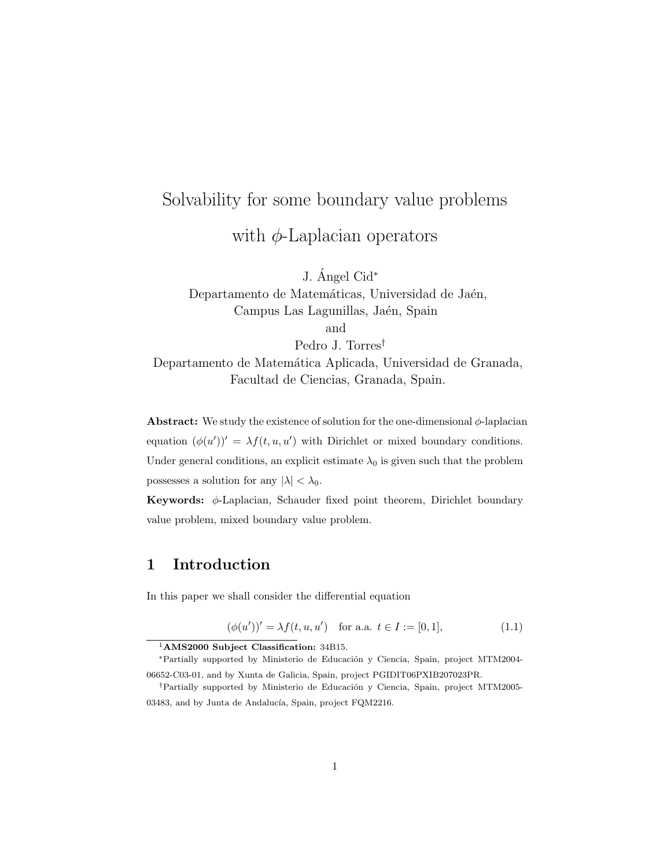# Solvability for some boundary value problems with  $\phi$ -Laplacian operators

J. Ángel Cid $*$ 

Departamento de Matemáticas, Universidad de Jaén, Campus Las Lagunillas, Jaén, Spain and

Pedro J. Torres† Departamento de Matemática Aplicada, Universidad de Granada, Facultad de Ciencias, Granada, Spain.

**Abstract:** We study the existence of solution for the one-dimensional  $\phi$ -laplacian equation  $(\phi(u'))' = \lambda f(t, u, u')$  with Dirichlet or mixed boundary conditions.

Under general conditions, an explicit estimate  $\lambda_0$  is given such that the problem possesses a solution for any  $|\lambda| < \lambda_0$ .

Keywords: φ-Laplacian, Schauder fixed point theorem, Dirichlet boundary value problem, mixed boundary value problem.

## 1 Introduction

In this paper we shall consider the differential equation

$$
(\phi(u'))' = \lambda f(t, u, u') \quad \text{for a.a. } t \in I := [0, 1], \tag{1.1}
$$

<sup>1</sup>AMS2000 Subject Classification: 34B15.

<sup>\*</sup>Partially supported by Ministerio de Educación y Ciencia, Spain, project MTM2004-06652-C03-01, and by Xunta de Galicia, Spain, project PGIDIT06PXIB207023PR.

<sup>&</sup>lt;sup>†</sup>Partially supported by Ministerio de Educación y Ciencia, Spain, project MTM2005-03483, and by Junta de Andalucía, Spain, project FQM2216.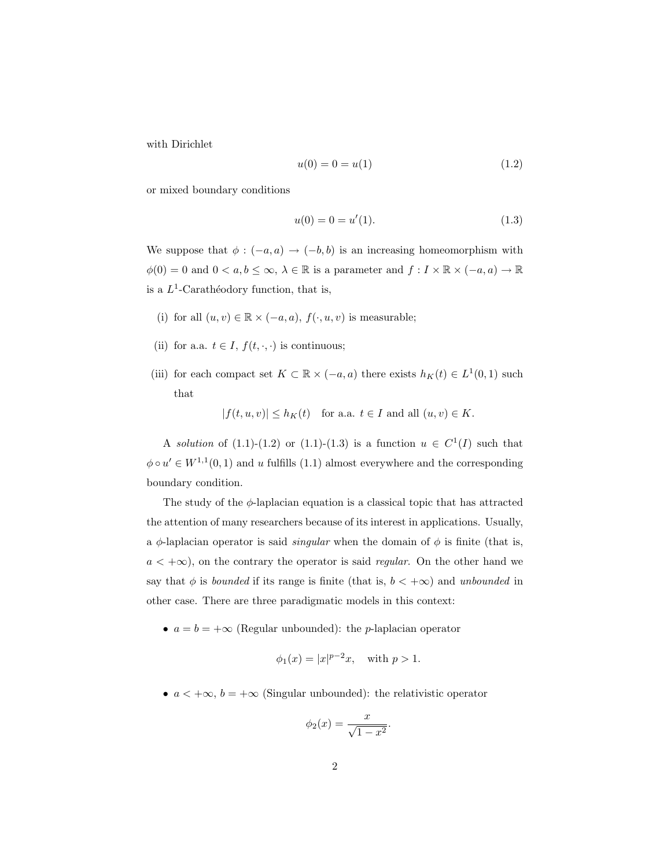with Dirichlet

$$
u(0) = 0 = u(1) \tag{1.2}
$$

or mixed boundary conditions

$$
u(0) = 0 = u'(1). \tag{1.3}
$$

We suppose that  $\phi : (-a, a) \rightarrow (-b, b)$  is an increasing homeomorphism with  $\phi(0) = 0$  and  $0 < a, b \leq \infty$ ,  $\lambda \in \mathbb{R}$  is a parameter and  $f: I \times \mathbb{R} \times (-a, a) \to \mathbb{R}$ is a  $L^1$ -Carathéodory function, that is,

- (i) for all  $(u, v) \in \mathbb{R} \times (-a, a), f(\cdot, u, v)$  is measurable;
- (ii) for a.a.  $t \in I$ ,  $f(t, \cdot, \cdot)$  is continuous;
- (iii) for each compact set  $K \subset \mathbb{R} \times (-a, a)$  there exists  $h_K(t) \in L^1(0, 1)$  such that

$$
|f(t, u, v)| \le h_K(t) \quad \text{for a.a. } t \in I \text{ and all } (u, v) \in K.
$$

A solution of  $(1.1)$ - $(1.2)$  or  $(1.1)$ - $(1.3)$  is a function  $u \in C^1(I)$  such that  $\phi \circ u' \in W^{1,1}(0,1)$  and u fulfills  $(1.1)$  almost everywhere and the corresponding boundary condition.

The study of the  $\phi$ -laplacian equation is a classical topic that has attracted the attention of many researchers because of its interest in applications. Usually, a  $\phi$ -laplacian operator is said *singular* when the domain of  $\phi$  is finite (that is,  $a < +\infty$ ), on the contrary the operator is said *regular*. On the other hand we say that  $\phi$  is *bounded* if its range is finite (that is,  $b < +\infty$ ) and *unbounded* in other case. There are three paradigmatic models in this context:

•  $a = b = +\infty$  (Regular unbounded): the *p*-laplacian operator

$$
\phi_1(x) = |x|^{p-2}x
$$
, with  $p > 1$ .

•  $a < +\infty$ ,  $b = +\infty$  (Singular unbounded): the relativistic operator

$$
\phi_2(x) = \frac{x}{\sqrt{1 - x^2}}
$$

.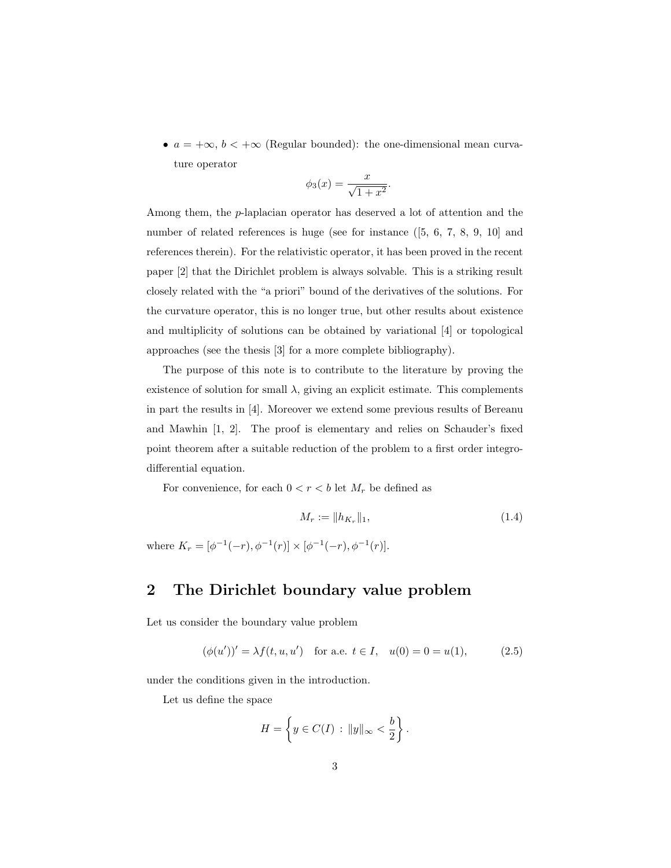•  $a = +\infty$ ,  $b < +\infty$  (Regular bounded): the one-dimensional mean curvature operator

$$
\phi_3(x) = \frac{x}{\sqrt{1+x^2}}.
$$

Among them, the p-laplacian operator has deserved a lot of attention and the number of related references is huge (see for instance ([5, 6, 7, 8, 9, 10] and references therein). For the relativistic operator, it has been proved in the recent paper [2] that the Dirichlet problem is always solvable. This is a striking result closely related with the "a priori" bound of the derivatives of the solutions. For the curvature operator, this is no longer true, but other results about existence and multiplicity of solutions can be obtained by variational [4] or topological approaches (see the thesis [3] for a more complete bibliography).

The purpose of this note is to contribute to the literature by proving the existence of solution for small  $\lambda$ , giving an explicit estimate. This complements in part the results in [4]. Moreover we extend some previous results of Bereanu and Mawhin [1, 2]. The proof is elementary and relies on Schauder's fixed point theorem after a suitable reduction of the problem to a first order integrodifferential equation.

For convenience, for each  $0 < r < b$  let  $M_r$  be defined as

$$
M_r := \|h_{K_r}\|_1,\tag{1.4}
$$

where  $K_r = [\phi^{-1}(-r), \phi^{-1}(r)] \times [\phi^{-1}(-r), \phi^{-1}(r)].$ 

#### 2 The Dirichlet boundary value problem

Let us consider the boundary value problem

$$
(\phi(u'))' = \lambda f(t, u, u') \quad \text{for a.e. } t \in I, \quad u(0) = 0 = u(1), \tag{2.5}
$$

under the conditions given in the introduction.

Let us define the space

$$
H = \left\{ y \in C(I) : ||y||_{\infty} < \frac{b}{2} \right\}.
$$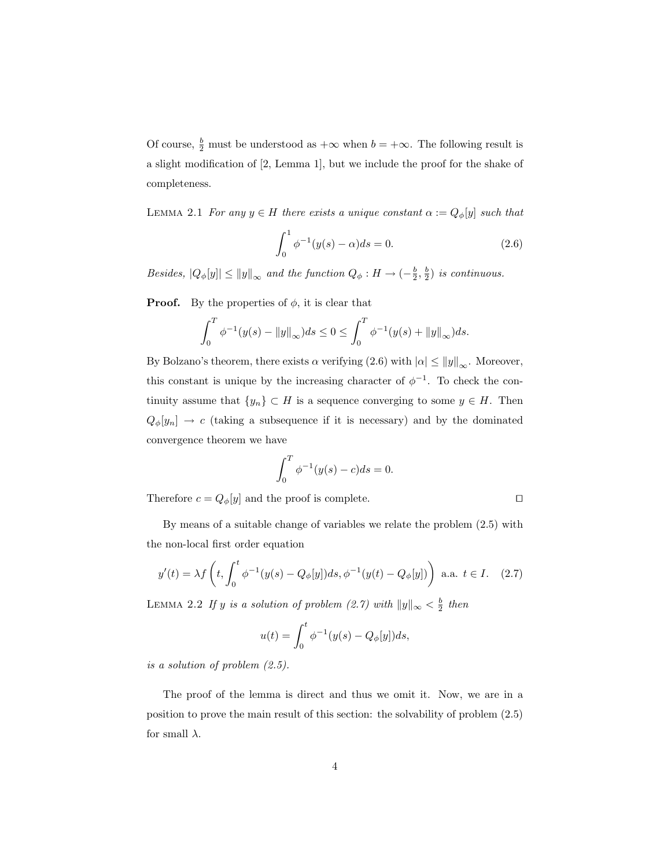Of course,  $\frac{b}{2}$  must be understood as  $+\infty$  when  $b = +\infty$ . The following result is a slight modification of [2, Lemma 1], but we include the proof for the shake of completeness.

LEMMA 2.1 For any  $y \in H$  there exists a unique constant  $\alpha := Q_{\phi}[y]$  such that

$$
\int_0^1 \phi^{-1}(y(s) - \alpha)ds = 0.
$$
 (2.6)

Besides,  $|Q_{\phi}[y]| \le ||y||_{\infty}$  and the function  $Q_{\phi}: H \to (-\frac{b}{2}, \frac{b}{2})$  is continuous.

**Proof.** By the properties of  $\phi$ , it is clear that

$$
\int_0^T \phi^{-1}(y(s) - ||y||_{\infty}) ds \le 0 \le \int_0^T \phi^{-1}(y(s) + ||y||_{\infty}) ds.
$$

By Bolzano's theorem, there exists  $\alpha$  verifying (2.6) with  $|\alpha| \le ||y||_{\infty}$ . Moreover, this constant is unique by the increasing character of  $\phi^{-1}$ . To check the continuity assume that  $\{y_n\} \subset H$  is a sequence converging to some  $y \in H$ . Then  $Q_{\phi}[y_n] \rightarrow c$  (taking a subsequence if it is necessary) and by the dominated convergence theorem we have

$$
\int_0^T \phi^{-1}(y(s) - c)ds = 0.
$$

Therefore  $c = Q_{\phi}[y]$  and the proof is complete.

By means of a suitable change of variables we relate the problem (2.5) with the non-local first order equation

$$
y'(t) = \lambda f\left(t, \int_0^t \phi^{-1}(y(s) - Q_\phi[y])ds, \phi^{-1}(y(t) - Q_\phi[y])\right) \text{ a.a. } t \in I. \quad (2.7)
$$

LEMMA 2.2 If y is a solution of problem  $(2.7)$  with  $||y||_{\infty} < \frac{b}{2}$  then

$$
u(t) = \int_0^t \phi^{-1}(y(s) - Q_{\phi}[y])ds,
$$

is a solution of problem (2.5).

The proof of the lemma is direct and thus we omit it. Now, we are in a position to prove the main result of this section: the solvability of problem (2.5) for small  $\lambda$ .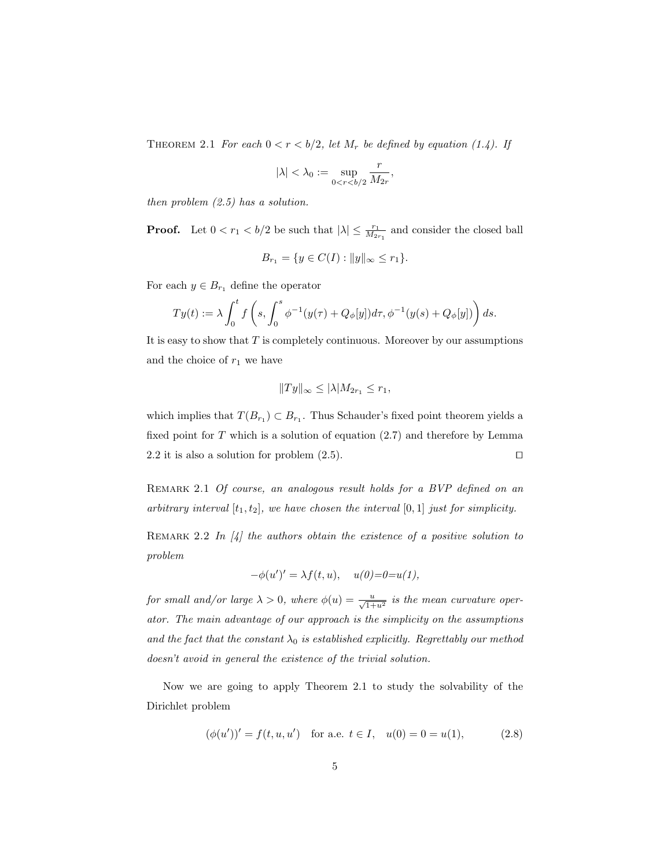THEOREM 2.1 For each  $0 < r < b/2$ , let  $M_r$  be defined by equation (1.4). If

$$
|\lambda| < \lambda_0 := \sup_{0 < r < b/2} \frac{r}{M_{2r}},
$$

then problem (2.5) has a solution.

**Proof.** Let  $0 < r_1 < b/2$  be such that  $|\lambda| \leq \frac{r_1}{M_{2r_1}}$  and consider the closed ball

$$
B_{r_1} = \{ y \in C(I) : ||y||_{\infty} \le r_1 \}.
$$

For each  $y \in B_{r_1}$  define the operator

$$
Ty(t) := \lambda \int_0^t f\left(s, \int_0^s \phi^{-1}(y(\tau) + Q_\phi[y])d\tau, \phi^{-1}(y(s) + Q_\phi[y])\right)ds.
$$

It is easy to show that  $T$  is completely continuous. Moreover by our assumptions and the choice of  $r_1$  we have

$$
||Ty||_{\infty} \leq |\lambda| M_{2r_1} \leq r_1,
$$

which implies that  $T(B_{r_1}) \subset B_{r_1}$ . Thus Schauder's fixed point theorem yields a fixed point for  $T$  which is a solution of equation  $(2.7)$  and therefore by Lemma 2.2 it is also a solution for problem  $(2.5)$ .

REMARK 2.1 Of course, an analogous result holds for a BVP defined on an arbitrary interval  $[t_1, t_2]$ , we have chosen the interval  $[0, 1]$  just for simplicity.

REMARK 2.2 In  $\left[4\right]$  the authors obtain the existence of a positive solution to problem

$$
-\phi(u')' = \lambda f(t, u), \quad u(0) = 0 = u(1),
$$

for small and/or large  $\lambda > 0$ , where  $\phi(u) = \frac{u}{\sqrt{1+u^2}}$  is the mean curvature operator. The main advantage of our approach is the simplicity on the assumptions and the fact that the constant  $\lambda_0$  is established explicitly. Regrettably our method doesn't avoid in general the existence of the trivial solution.

Now we are going to apply Theorem 2.1 to study the solvability of the Dirichlet problem

$$
(\phi(u'))' = f(t, u, u') \quad \text{for a.e. } t \in I, \quad u(0) = 0 = u(1), \tag{2.8}
$$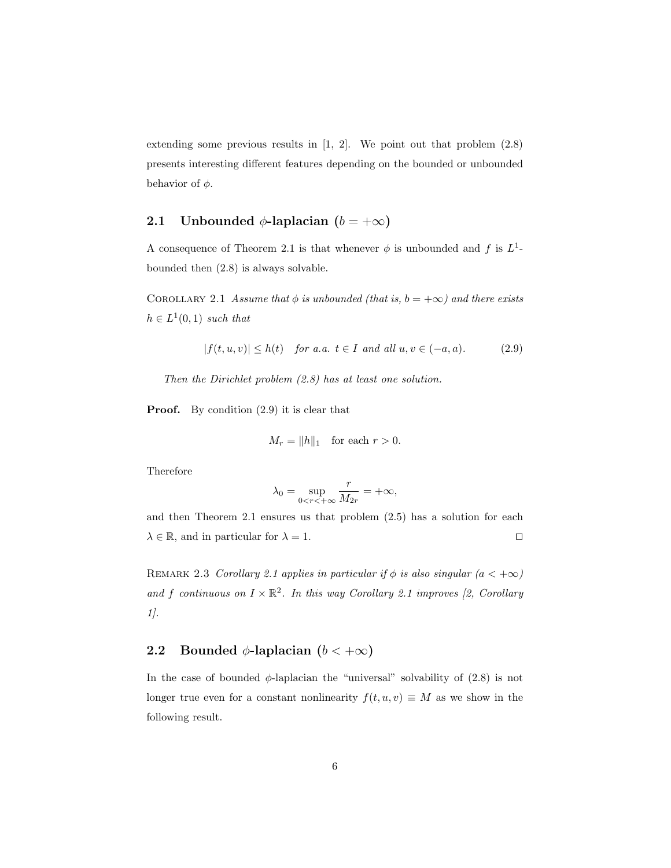extending some previous results in [1, 2]. We point out that problem (2.8) presents interesting different features depending on the bounded or unbounded behavior of  $\phi$ .

#### 2.1 Unbounded  $\phi$ -laplacian ( $b = +\infty$ )

A consequence of Theorem 2.1 is that whenever  $\phi$  is unbounded and f is  $L^1$ bounded then (2.8) is always solvable.

COROLLARY 2.1 Assume that  $\phi$  is unbounded (that is,  $b = +\infty$ ) and there exists  $h \in L^1(0,1)$  such that

$$
|f(t, u, v)| \le h(t) \quad \text{for a.a. } t \in I \text{ and all } u, v \in (-a, a). \tag{2.9}
$$

Then the Dirichlet problem  $(2.8)$  has at least one solution.

**Proof.** By condition  $(2.9)$  it is clear that

$$
M_r = \|h\|_1 \quad \text{for each } r > 0.
$$

Therefore

$$
\lambda_0 = \sup_{0 < r < +\infty} \frac{r}{M_{2r}} = +\infty,
$$

and then Theorem 2.1 ensures us that problem (2.5) has a solution for each  $\lambda \in \mathbb{R}$ , and in particular for  $\lambda = 1$ .

REMARK 2.3 Corollary 2.1 applies in particular if  $\phi$  is also singular  $(a < +\infty)$ and f continuous on  $I \times \mathbb{R}^2$ . In this way Corollary 2.1 improves [2, Corollary 1].

#### 2.2 Bounded  $\phi$ -laplacian  $(b < +\infty)$

In the case of bounded  $\phi$ -laplacian the "universal" solvability of (2.8) is not longer true even for a constant nonlinearity  $f(t, u, v) \equiv M$  as we show in the following result.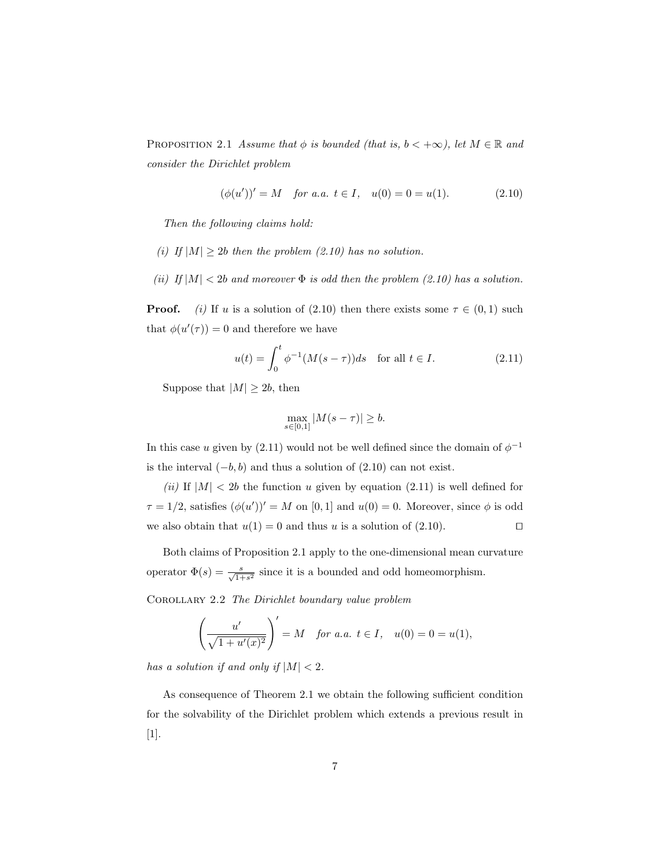PROPOSITION 2.1 Assume that  $\phi$  is bounded (that is,  $b < +\infty$ ), let  $M \in \mathbb{R}$  and consider the Dirichlet problem

$$
(\phi(u'))' = M \quad \text{for a.a. } t \in I, \quad u(0) = 0 = u(1). \tag{2.10}
$$

Then the following claims hold:

- (i) If  $|M| \geq 2b$  then the problem (2.10) has no solution.
- (ii) If  $|M| < 2b$  and moreover  $\Phi$  is odd then the problem (2.10) has a solution.

**Proof.** (i) If u is a solution of (2.10) then there exists some  $\tau \in (0,1)$  such that  $\phi(u'(\tau)) = 0$  and therefore we have

$$
u(t) = \int_0^t \phi^{-1}(M(s-\tau))ds \quad \text{for all } t \in I.
$$
 (2.11)

Suppose that  $|M| \geq 2b$ , then

$$
\max_{s \in [0,1]} |M(s - \tau)| \geq b.
$$

In this case u given by (2.11) would not be well defined since the domain of  $\phi^{-1}$ is the interval  $(-b, b)$  and thus a solution of  $(2.10)$  can not exist.

(ii) If  $|M|$  < 2b the function u given by equation (2.11) is well defined for  $\tau = 1/2$ , satisfies  $(\phi(u'))' = M$  on [0, 1] and  $u(0) = 0$ . Moreover, since  $\phi$  is odd we also obtain that  $u(1) = 0$  and thus u is a solution of (2.10).

Both claims of Proposition 2.1 apply to the one-dimensional mean curvature operator  $\Phi(s) = \frac{s}{\sqrt{1+s^2}}$  since it is a bounded and odd homeomorphism.

Corollary 2.2 The Dirichlet boundary value problem

$$
\left(\frac{u'}{\sqrt{1+u'(x)^2}}\right)' = M \quad \text{for a.a. } t \in I, \quad u(0) = 0 = u(1),
$$

has a solution if and only if  $|M| < 2$ .

As consequence of Theorem 2.1 we obtain the following sufficient condition for the solvability of the Dirichlet problem which extends a previous result in [1].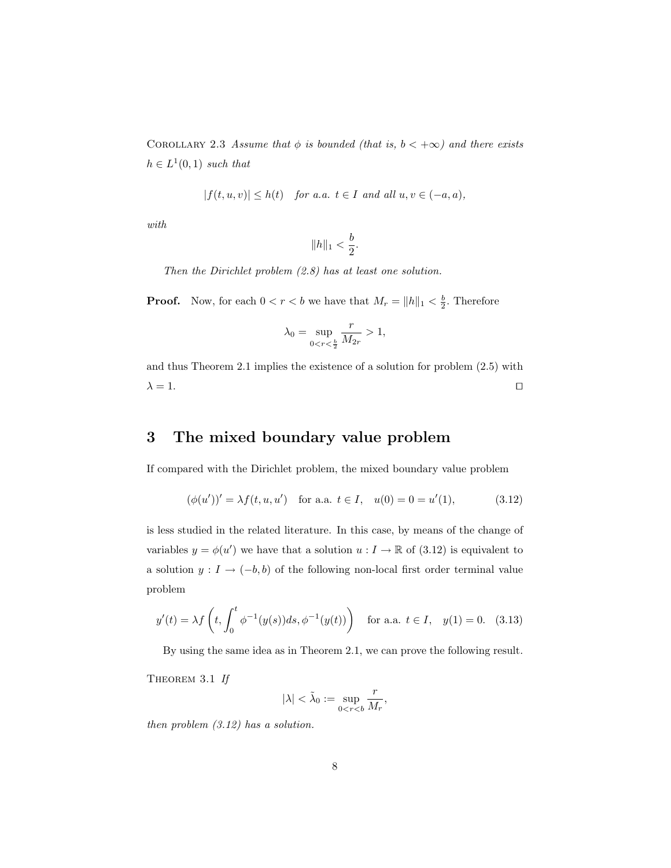COROLLARY 2.3 Assume that  $\phi$  is bounded (that is,  $b < +\infty$ ) and there exists  $h \in L^1(0,1)$  such that

$$
|f(t, u, v)| \le h(t) \quad \text{for a.a. } t \in I \text{ and all } u, v \in (-a, a),
$$

with

$$
\|h\|_1 < \frac{b}{2}.
$$

Then the Dirichlet problem (2.8) has at least one solution.

**Proof.** Now, for each  $0 < r < b$  we have that  $M_r = ||h||_1 < \frac{b}{2}$ . Therefore

$$
\lambda_0 = \sup_{0 < r < \frac{b}{2}} \frac{r}{M_{2r}} > 1,
$$

and thus Theorem 2.1 implies the existence of a solution for problem (2.5) with  $\lambda = 1.$ 

### 3 The mixed boundary value problem

If compared with the Dirichlet problem, the mixed boundary value problem

$$
(\phi(u'))' = \lambda f(t, u, u') \quad \text{for a.a. } t \in I, \quad u(0) = 0 = u'(1), \tag{3.12}
$$

is less studied in the related literature. In this case, by means of the change of variables  $y = \phi(u')$  we have that a solution  $u : I \to \mathbb{R}$  of (3.12) is equivalent to a solution  $y: I \to (-b, b)$  of the following non-local first order terminal value problem

$$
y'(t) = \lambda f\left(t, \int_0^t \phi^{-1}(y(s))ds, \phi^{-1}(y(t))\right) \quad \text{for a.a. } t \in I, \quad y(1) = 0. \tag{3.13}
$$

By using the same idea as in Theorem 2.1, we can prove the following result.

THEOREM 3.1 If

$$
|\lambda| < \tilde{\lambda}_0 := \sup_{0 < r < b} \frac{r}{M_r},
$$

then problem  $(3.12)$  has a solution.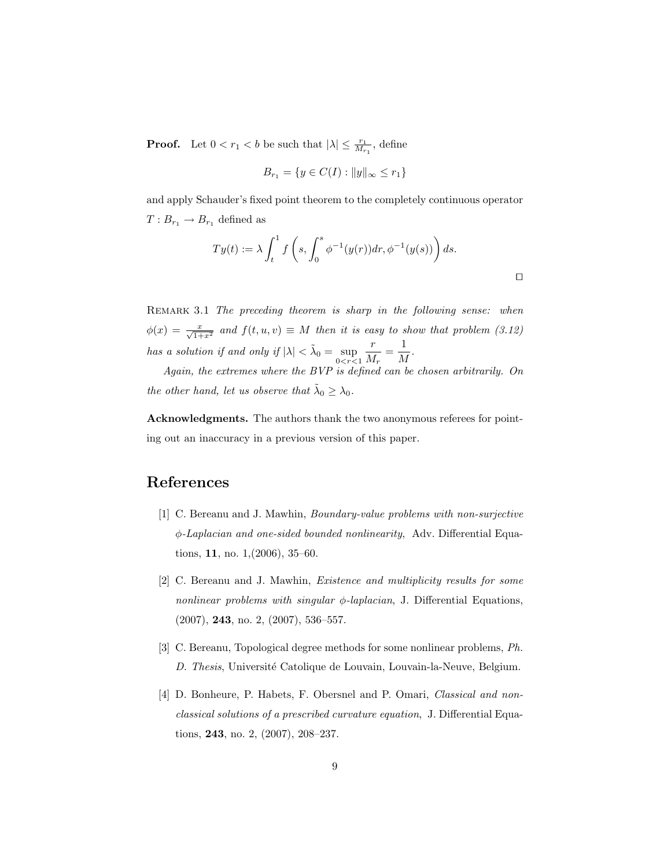**Proof.** Let  $0 < r_1 < b$  be such that  $|\lambda| \leq \frac{r_1}{M_{r_1}}$ , define

$$
B_{r_1} = \{ y \in C(I) : ||y||_{\infty} \le r_1 \}
$$

and apply Schauder's fixed point theorem to the completely continuous operator  $T: B_{r_1} \to B_{r_1}$  defined as

$$
Ty(t) := \lambda \int_t^1 f\left(s, \int_0^s \phi^{-1}(y(r)) dr, \phi^{-1}(y(s))\right) ds.
$$

REMARK 3.1 The preceding theorem is sharp in the following sense: when  $\phi(x) = \frac{x}{\sqrt{1+x^2}}$  and  $f(t, u, v) \equiv M$  then it is easy to show that problem (3.12) has a solution if and only if  $|\lambda| < \tilde{\lambda}_0 = \sup_{0 \le r \le 1}$ r  $\frac{r}{M_r} = \frac{1}{M}$  $\frac{1}{M}$ .

Again, the extremes where the BVP is defined can be chosen arbitrarily. On the other hand, let us observe that  $\tilde{\lambda}_0 \geq \lambda_0$ .

Acknowledgments. The authors thank the two anonymous referees for pointing out an inaccuracy in a previous version of this paper.

#### References

- [1] C. Bereanu and J. Mawhin, Boundary-value problems with non-surjective φ-Laplacian and one-sided bounded nonlinearity, Adv. Differential Equations, 11, no. 1,(2006), 35–60.
- [2] C. Bereanu and J. Mawhin, Existence and multiplicity results for some nonlinear problems with singular  $\phi$ -laplacian, J. Differential Equations, (2007), 243, no. 2, (2007), 536–557.
- [3] C. Bereanu, Topological degree methods for some nonlinear problems, Ph. D. Thesis, Université Catolique de Louvain, Louvain-la-Neuve, Belgium.
- [4] D. Bonheure, P. Habets, F. Obersnel and P. Omari, Classical and nonclassical solutions of a prescribed curvature equation, J. Differential Equations, 243, no. 2, (2007), 208–237.